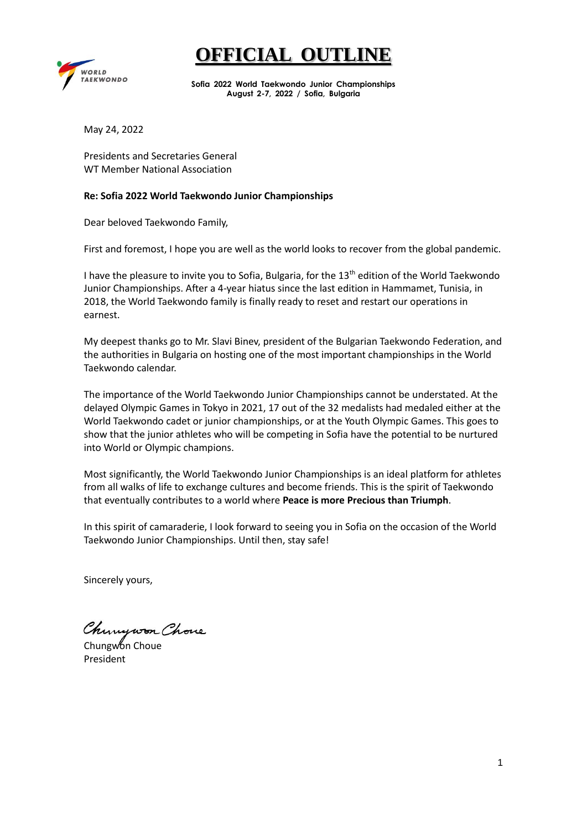

**Sofia 2022 World Taekwondo Junior Championships August 2-7, 2022 / Sofia, Bulgaria**

May 24, 2022

Presidents and Secretaries General WT Member National Association

#### **Re: Sofia 2022 World Taekwondo Junior Championships**

Dear beloved Taekwondo Family,

First and foremost, I hope you are well as the world looks to recover from the global pandemic.

I have the pleasure to invite you to Sofia, Bulgaria, for the 13<sup>th</sup> edition of the World Taekwondo Junior Championships. After a 4-year hiatus since the last edition in Hammamet, Tunisia, in 2018, the World Taekwondo family is finally ready to reset and restart our operations in earnest.

My deepest thanks go to Mr. Slavi Binev, president of the Bulgarian Taekwondo Federation, and the authorities in Bulgaria on hosting one of the most important championships in the World Taekwondo calendar.

The importance of the World Taekwondo Junior Championships cannot be understated. At the delayed Olympic Games in Tokyo in 2021, 17 out of the 32 medalists had medaled either at the World Taekwondo cadet or junior championships, or at the Youth Olympic Games. This goes to show that the junior athletes who will be competing in Sofia have the potential to be nurtured into World or Olympic champions.

Most significantly, the World Taekwondo Junior Championships is an ideal platform for athletes from all walks of life to exchange cultures and become friends. This is the spirit of Taekwondo that eventually contributes to a world where **Peace is more Precious than Triumph**.

In this spirit of camaraderie, I look forward to seeing you in Sofia on the occasion of the World Taekwondo Junior Championships. Until then, stay safe!

Sincerely yours,

Chinywon Chove

Chungwon Choue President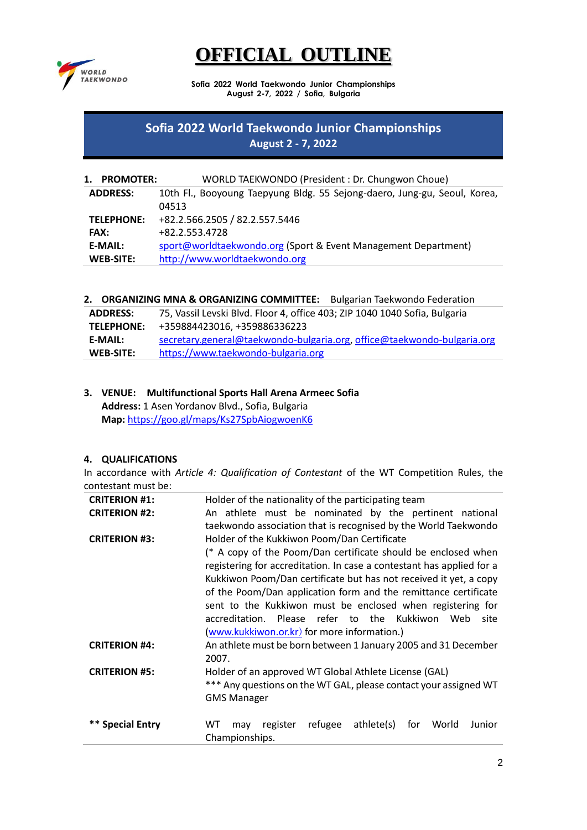

**Sofia 2022 World Taekwondo Junior Championships August 2-7, 2022 / Sofia, Bulgaria**

# **Sofia 2022 World Taekwondo Junior Championships August 2 - 7, 2022**

| 1.<br><b>PROMOTER:</b> | WORLD TAEKWONDO (President: Dr. Chungwon Choue)                           |
|------------------------|---------------------------------------------------------------------------|
| <b>ADDRESS:</b>        | 10th Fl., Booyoung Taepyung Bldg. 55 Sejong-daero, Jung-gu, Seoul, Korea, |
|                        | 04513                                                                     |
| <b>TELEPHONE:</b>      | +82.2.566.2505 / 82.2.557.5446                                            |
| <b>FAX:</b>            | +82.2.553.4728                                                            |
| <b>E-MAIL:</b>         | sport@worldtaekwondo.org (Sport & Event Management Department)            |
| <b>WEB-SITE:</b>       | http://www.worldtaekwondo.org                                             |

**2. ORGANIZING MNA & ORGANIZING COMMITTEE:** Bulgarian Taekwondo Federation

| <b>ADDRESS:</b>   | 75, Vassil Levski Blvd. Floor 4, office 403; ZIP 1040 1040 Sofia, Bulgaria |
|-------------------|----------------------------------------------------------------------------|
| <b>TELEPHONE:</b> | +359884423016, +359886336223                                               |
| <b>E-MAIL:</b>    | secretary.general@taekwondo-bulgaria.org, office@taekwondo-bulgaria.org    |
| <b>WEB-SITE:</b>  | https://www.taekwondo-bulgaria.org                                         |

### **3. VENUE: Multifunctional Sports Hall Arena Armeec Sofia Address:** 1 Asen Yordanov Blvd., Sofia, Bulgaria **Map:** <https://goo.gl/maps/Ks27SpbAiogwoenK6>

# **4. QUALIFICATIONS**

In accordance with *Article 4: Qualification of Contestant* of the WT Competition Rules, the contestant must be:

| <b>CRITERION #1:</b> | Holder of the nationality of the participating team                      |  |  |  |
|----------------------|--------------------------------------------------------------------------|--|--|--|
| <b>CRITERION #2:</b> | An athlete must be nominated by the pertinent national                   |  |  |  |
|                      | taekwondo association that is recognised by the World Taekwondo          |  |  |  |
| <b>CRITERION #3:</b> | Holder of the Kukkiwon Poom/Dan Certificate                              |  |  |  |
|                      | (* A copy of the Poom/Dan certificate should be enclosed when            |  |  |  |
|                      | registering for accreditation. In case a contestant has applied for a    |  |  |  |
|                      | Kukkiwon Poom/Dan certificate but has not received it yet, a copy        |  |  |  |
|                      | of the Poom/Dan application form and the remittance certificate          |  |  |  |
|                      | sent to the Kukkiwon must be enclosed when registering for               |  |  |  |
|                      | accreditation. Please refer to the Kukkiwon Web<br>site                  |  |  |  |
|                      | (www.kukkiwon.or.kr) for more information.)                              |  |  |  |
| <b>CRITERION #4:</b> | An athlete must be born between 1 January 2005 and 31 December           |  |  |  |
|                      | 2007.                                                                    |  |  |  |
| <b>CRITERION #5:</b> | Holder of an approved WT Global Athlete License (GAL)                    |  |  |  |
|                      | *** Any questions on the WT GAL, please contact your assigned WT         |  |  |  |
|                      | <b>GMS Manager</b>                                                       |  |  |  |
|                      |                                                                          |  |  |  |
| ** Special Entry     | refugee<br>WT<br>register<br>athlete(s)<br>for<br>World<br>Junior<br>may |  |  |  |
|                      | Championships.                                                           |  |  |  |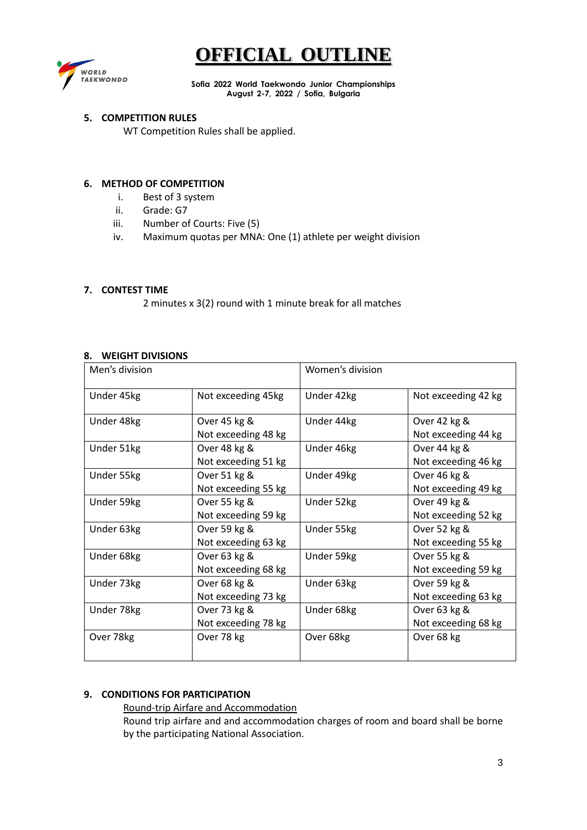

**Sofia 2022 World Taekwondo Junior Championships August 2-7, 2022 / Sofia, Bulgaria**

#### **5. COMPETITION RULES**

WT Competition Rules shall be applied.

#### **6. METHOD OF COMPETITION**

- i. Best of 3 system
- ii. Grade: G7
- iii. Number of Courts: Five (5)
- iv. Maximum quotas per MNA: One (1) athlete per weight division

### **7. CONTEST TIME**

2 minutes x 3(2) round with 1 minute break for all matches

#### **8. WEIGHT DIVISIONS**

| Men's division |                     | Women's division |                     |
|----------------|---------------------|------------------|---------------------|
| Under 45kg     | Not exceeding 45kg  | Under 42kg       | Not exceeding 42 kg |
| Under 48kg     | Over 45 kg &        | Under 44kg       | Over 42 kg &        |
|                | Not exceeding 48 kg |                  | Not exceeding 44 kg |
| Under 51kg     | Over 48 kg &        | Under 46kg       | Over 44 kg &        |
|                | Not exceeding 51 kg |                  | Not exceeding 46 kg |
| Under 55kg     | Over 51 kg &        | Under 49kg       | Over 46 kg &        |
|                | Not exceeding 55 kg |                  | Not exceeding 49 kg |
| Under 59kg     | Over 55 kg &        | Under 52kg       | Over 49 kg &        |
|                | Not exceeding 59 kg |                  | Not exceeding 52 kg |
| Under 63kg     | Over 59 kg &        | Under 55kg       | Over 52 kg &        |
|                | Not exceeding 63 kg |                  | Not exceeding 55 kg |
| Under 68kg     | Over 63 kg &        | Under 59kg       | Over 55 kg &        |
|                | Not exceeding 68 kg |                  | Not exceeding 59 kg |
| Under 73kg     | Over 68 kg &        | Under 63kg       | Over 59 kg &        |
|                | Not exceeding 73 kg |                  | Not exceeding 63 kg |
| Under 78kg     | Over 73 kg &        | Under 68kg       | Over 63 kg &        |
|                | Not exceeding 78 kg |                  | Not exceeding 68 kg |
| Over 78kg      | Over 78 kg          | Over 68kg        | Over 68 kg          |

# **9. CONDITIONS FOR PARTICIPATION**

#### Round-trip Airfare and Accommodation

Round trip airfare and and accommodation charges of room and board shall be borne by the participating National Association.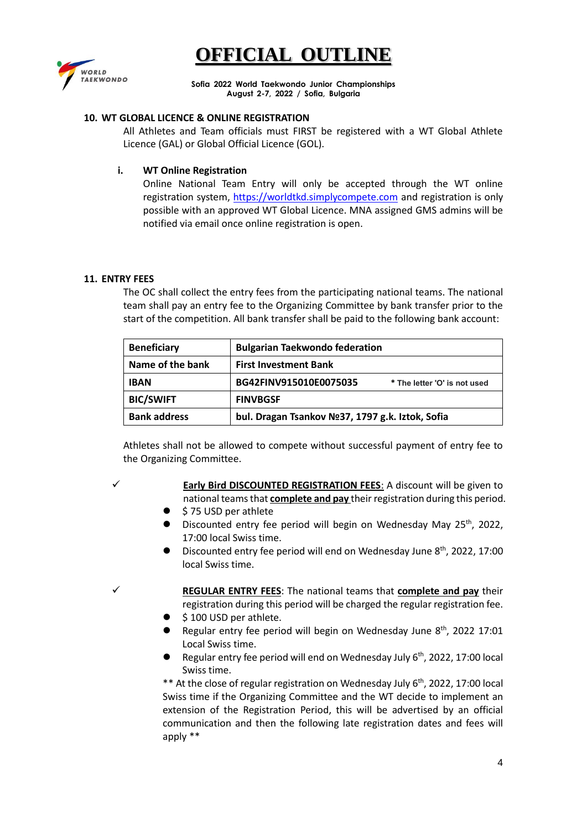

**Sofia 2022 World Taekwondo Junior Championships August 2-7, 2022 / Sofia, Bulgaria**

#### **10. WT GLOBAL LICENCE & ONLINE REGISTRATION**

All Athletes and Team officials must FIRST be registered with a WT Global Athlete Licence (GAL) or Global Official Licence (GOL).

#### **i. WT Online Registration**

Online National Team Entry will only be accepted through the WT online registration system, [https://worldtkd.simplycompete.com](https://worldtkd.simplycompete.com/) and registration is only possible with an approved WT Global Licence. MNA assigned GMS admins will be notified via email once online registration is open.

#### **11. ENTRY FEES**

The OC shall collect the entry fees from the participating national teams. The national team shall pay an entry fee to the Organizing Committee by bank transfer prior to the start of the competition. All bank transfer shall be paid to the following bank account:

| <b>Beneficiary</b>  | <b>Bulgarian Taekwondo federation</b>                  |  |
|---------------------|--------------------------------------------------------|--|
| Name of the bank    | <b>First Investment Bank</b>                           |  |
| <b>IBAN</b>         | BG42FINV915010E0075035<br>* The letter 'O' is not used |  |
| <b>BIC/SWIFT</b>    | <b>FINVBGSF</b>                                        |  |
| <b>Bank address</b> | bul. Dragan Tsankov Nº37, 1797 g.k. Iztok, Sofia       |  |

Athletes shall not be allowed to compete without successful payment of entry fee to the Organizing Committee.

- ✓ **Early Bird DISCOUNTED REGISTRATION FEES**: A discount will be given to national teams that **complete and pay** their registration during this period.
- ⚫ \$ 75 USD per athlete
- Discounted entry fee period will begin on Wednesday May 25<sup>th</sup>, 2022, 17:00 local Swiss time.
- Discounted entry fee period will end on Wednesday June 8<sup>th</sup>, 2022, 17:00 local Swiss time.

✓ **REGULAR ENTRY FEES**: The national teams that **complete and pay** their registration during this period will be charged the regular registration fee.

- \$100 USD per athlete.
- Regular entry fee period will begin on Wednesday June 8<sup>th</sup>, 2022 17:01 Local Swiss time.
- Regular entry fee period will end on Wednesday July 6<sup>th</sup>, 2022, 17:00 local Swiss time.

\*\* At the close of regular registration on Wednesday July 6<sup>th</sup>, 2022, 17:00 local Swiss time if the Organizing Committee and the WT decide to implement an extension of the Registration Period, this will be advertised by an official communication and then the following late registration dates and fees will apply \*\*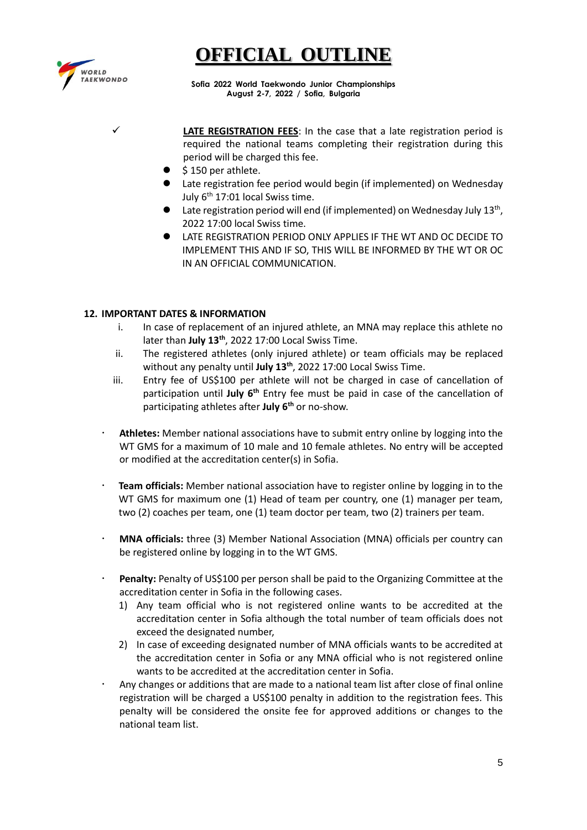

**Sofia 2022 World Taekwondo Junior Championships August 2-7, 2022 / Sofia, Bulgaria**

LATE REGISTRATION FEES: In the case that a late registration period is required the national teams completing their registration during this period will be charged this fee.

- ⚫ \$ 150 per athlete.
- Late registration fee period would begin (if implemented) on Wednesday July 6<sup>th</sup> 17:01 local Swiss time.
- Late registration period will end (if implemented) on Wednesday July 13<sup>th</sup>, 2022 17:00 local Swiss time.
- ⚫ LATE REGISTRATION PERIOD ONLY APPLIES IF THE WT AND OC DECIDE TO IMPLEMENT THIS AND IF SO, THIS WILL BE INFORMED BY THE WT OR OC IN AN OFFICIAL COMMUNICATION.

### **12. IMPORTANT DATES & INFORMATION**

- i. In case of replacement of an injured athlete, an MNA may replace this athlete no later than July 13<sup>th</sup>, 2022 17:00 Local Swiss Time.
- ii. The registered athletes (only injured athlete) or team officials may be replaced without any penalty until **July 13 th** , 2022 17:00 Local Swiss Time.
- iii. Entry fee of US\$100 per athlete will not be charged in case of cancellation of participation until July 6<sup>th</sup> Entry fee must be paid in case of the cancellation of participating athletes after **July 6 th** or no-show.
- **Athletes:** Member national associations have to submit entry online by logging into the WT GMS for a maximum of 10 male and 10 female athletes. No entry will be accepted or modified at the accreditation center(s) in Sofia.
- **Team officials:** Member national association have to register online by logging in to the WT GMS for maximum one (1) Head of team per country, one (1) manager per team, two (2) coaches per team, one (1) team doctor per team, two (2) trainers per team.
- **MNA officials:** three (3) Member National Association (MNA) officials per country can be registered online by logging in to the WT GMS.
- **Penalty:** Penalty of US\$100 per person shall be paid to the Organizing Committee at the accreditation center in Sofia in the following cases.
	- 1) Any team official who is not registered online wants to be accredited at the accreditation center in Sofia although the total number of team officials does not exceed the designated number,
	- 2) In case of exceeding designated number of MNA officials wants to be accredited at the accreditation center in Sofia or any MNA official who is not registered online wants to be accredited at the accreditation center in Sofia.
- Any changes or additions that are made to a national team list after close of final online registration will be charged a US\$100 penalty in addition to the registration fees. This penalty will be considered the onsite fee for approved additions or changes to the national team list.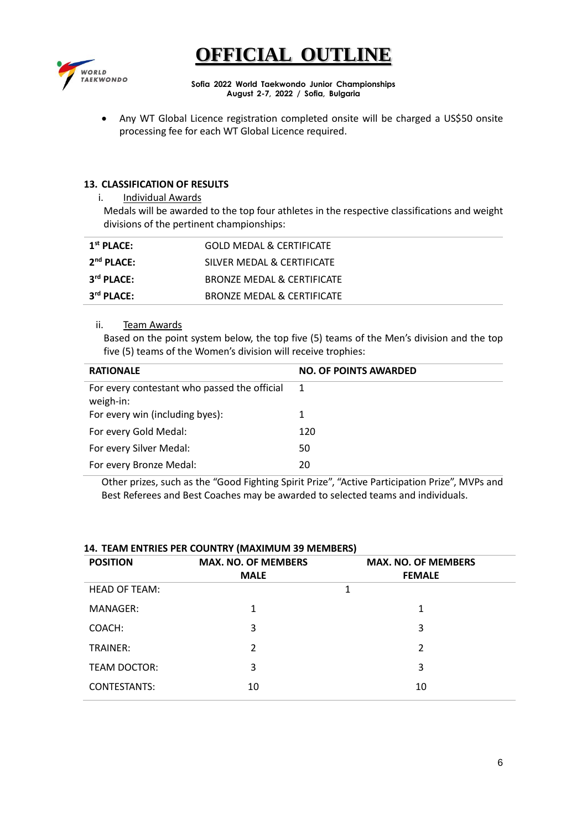

**Sofia 2022 World Taekwondo Junior Championships August 2-7, 2022 / Sofia, Bulgaria**

• Any WT Global Licence registration completed onsite will be charged a US\$50 onsite processing fee for each WT Global Licence required.

### **13. CLASSIFICATION OF RESULTS**

i. Individual Awards

Medals will be awarded to the top four athletes in the respective classifications and weight divisions of the pertinent championships:

| $1st$ PLACE: | <b>GOLD MEDAL &amp; CERTIFICATE</b> |
|--------------|-------------------------------------|
| $2nd$ PLACE: | SILVER MEDAL & CERTIFICATE          |
| $3rd$ PLACE: | BRONZE MEDAL & CERTIFICATE          |
| $3rd$ PLACE: | BRONZE MEDAL & CERTIFICATE          |

#### ii. Team Awards

Based on the point system below, the top five (5) teams of the Men's division and the top five (5) teams of the Women's division will receive trophies:

| <b>RATIONALE</b>                                          | <b>NO. OF POINTS AWARDED</b> |
|-----------------------------------------------------------|------------------------------|
| For every contestant who passed the official<br>weigh-in: | -1                           |
| For every win (including byes):                           | 1                            |
| For every Gold Medal:                                     | 120                          |
| For every Silver Medal:                                   | 50                           |
| For every Bronze Medal:                                   | 20                           |

Other prizes, such as the "Good Fighting Spirit Prize", "Active Participation Prize", MVPs and Best Referees and Best Coaches may be awarded to selected teams and individuals.

| <b>POSITION</b>      | <b>MAX. NO. OF MEMBERS</b><br><b>MALE</b> | <b>MAX. NO. OF MEMBERS</b><br><b>FEMALE</b> |
|----------------------|-------------------------------------------|---------------------------------------------|
| <b>HEAD OF TEAM:</b> |                                           | 1                                           |
| MANAGER:             | 1                                         | 1                                           |
| COACH:               | 3                                         | 3                                           |
| TRAINER:             | $\mathcal{P}$                             | $\mathfrak{p}$                              |
| <b>TEAM DOCTOR:</b>  | 3                                         | 3                                           |
| <b>CONTESTANTS:</b>  | 10                                        | 10                                          |

#### **14. TEAM ENTRIES PER COUNTRY (MAXIMUM 39 MEMBERS)**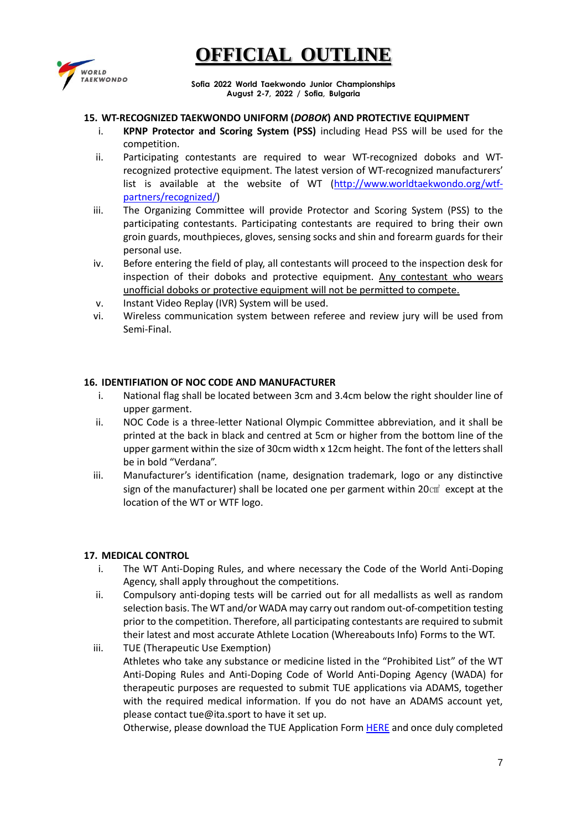

**Sofia 2022 World Taekwondo Junior Championships August 2-7, 2022 / Sofia, Bulgaria**

#### **15. WT-RECOGNIZED TAEKWONDO UNIFORM (***DOBOK***) AND PROTECTIVE EQUIPMENT**

- i. **KPNP Protector and Scoring System (PSS)** including Head PSS will be used for the competition.
- ii. Participating contestants are required to wear WT-recognized doboks and WTrecognized protective equipment. The latest version of WT-recognized manufacturers' list is available at the website of WT [\(http://www.worldtaekwondo.org/wtf](http://www.worldtaekwondo.org/wtf-partners/recognized/)[partners/recognized/\)](http://www.worldtaekwondo.org/wtf-partners/recognized/)
- iii. The Organizing Committee will provide Protector and Scoring System (PSS) to the participating contestants. Participating contestants are required to bring their own groin guards, mouthpieces, gloves, sensing socks and shin and forearm guards for their personal use.
- iv. Before entering the field of play, all contestants will proceed to the inspection desk for inspection of their doboks and protective equipment. Any contestant who wears unofficial doboks or protective equipment will not be permitted to compete.
- v. Instant Video Replay (IVR) System will be used.
- vi. Wireless communication system between referee and review jury will be used from Semi-Final.

### **16. IDENTIFIATION OF NOC CODE AND MANUFACTURER**

- i. National flag shall be located between 3cm and 3.4cm below the right shoulder line of upper garment.
- ii. NOC Code is a three-letter National Olympic Committee abbreviation, and it shall be printed at the back in black and centred at 5cm or higher from the bottom line of the upper garment within the size of 30cm width x 12cm height. The font of the letters shall be in bold "Verdana".
- iii. Manufacturer's identification (name, designation trademark, logo or any distinctive sign of the manufacturer) shall be located one per garment within 20 $\text{cm}^2$  except at the location of the WT or WTF logo.

#### **17. MEDICAL CONTROL**

- i. The WT Anti-Doping Rules, and where necessary the Code of the World Anti-Doping Agency, shall apply throughout the competitions.
- ii. Compulsory anti-doping tests will be carried out for all medallists as well as random selection basis. The WT and/or WADA may carry out random out-of-competition testing prior to the competition. Therefore, all participating contestants are required to submit their latest and most accurate Athlete Location (Whereabouts Info) Forms to the WT.
- iii. TUE (Therapeutic Use Exemption) Athletes who take any substance or medicine listed in the "Prohibited List" of the WT Anti-Doping Rules and Anti-Doping Code of World Anti-Doping Agency (WADA) for therapeutic purposes are requested to submit TUE applications via ADAMS, together with the required medical information. If you do not have an ADAMS account yet, please contact tue@ita.sport to have it set up.

Otherwise, please download the TUE Application For[m HERE](https://ita.sport/uploads/2022/03/2022_tue_application_form.pdf) and once duly completed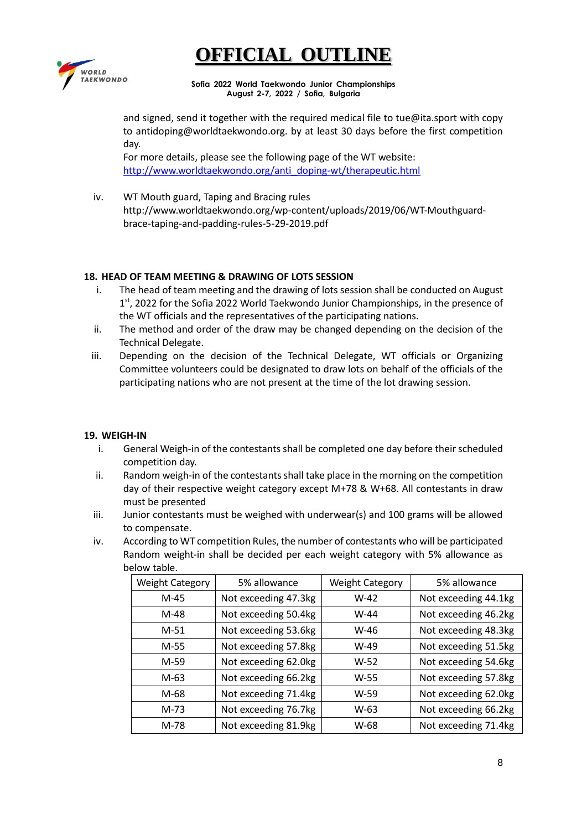

**Sofia 2022 World Taekwondo Junior Championships August 2-7, 2022 / Sofia, Bulgaria**

and signed, send it together with the required medical file to tue@ita.sport with copy to antidoping@worldtaekwondo.org. by at least 30 days before the first competition day.

For more details, please see the following page of the WT website: [http://www.worldtaekwondo.org/anti\\_doping-wt/therapeutic.html](http://www.worldtaekwondo.org/anti_doping-wt/therapeutic.html)

iv. WT Mouth guard, Taping and Bracing rules http://www.worldtaekwondo.org/wp-content/uploads/2019/06/WT-Mouthguardbrace-taping-and-padding-rules-5-29-2019.pdf

### **18. HEAD OF TEAM MEETING & DRAWING OF LOTS SESSION**

- i. The head of team meeting and the drawing of lots session shall be conducted on August 1<sup>st</sup>, 2022 for the Sofia 2022 World Taekwondo Junior Championships, in the presence of the WT officials and the representatives of the participating nations.
- ii. The method and order of the draw may be changed depending on the decision of the Technical Delegate.
- iii. Depending on the decision of the Technical Delegate, WT officials or Organizing Committee volunteers could be designated to draw lots on behalf of the officials of the participating nations who are not present at the time of the lot drawing session.

#### **19. WEIGH-IN**

- i. General Weigh-in of the contestants shall be completed one day before their scheduled competition day.
- ii. Random weigh-in of the contestants shall take place in the morning on the competition day of their respective weight category except M+78 & W+68. All contestants in draw must be presented
- iii. Junior contestants must be weighed with underwear(s) and 100 grams will be allowed to compensate.
- iv. According to WT competition Rules, the number of contestants who will be participated Random weight-in shall be decided per each weight category with 5% allowance as below table.

| <b>Weight Category</b> | 5% allowance         | <b>Weight Category</b> | 5% allowance         |
|------------------------|----------------------|------------------------|----------------------|
| $M-45$                 | Not exceeding 47.3kg | $W-42$                 | Not exceeding 44.1kg |
| $M-48$                 | Not exceeding 50.4kg | $W-44$                 | Not exceeding 46.2kg |
| $M-51$                 | Not exceeding 53.6kg | W-46                   | Not exceeding 48.3kg |
| M-55                   | Not exceeding 57.8kg | $W-49$                 | Not exceeding 51.5kg |
| M-59                   | Not exceeding 62.0kg | $W-52$                 | Not exceeding 54.6kg |
| $M-63$                 | Not exceeding 66.2kg | W-55                   | Not exceeding 57.8kg |
| M-68                   | Not exceeding 71.4kg | W-59                   | Not exceeding 62.0kg |
| $M-73$                 | Not exceeding 76.7kg | $W-63$                 | Not exceeding 66.2kg |
| M-78                   | Not exceeding 81.9kg | W-68                   | Not exceeding 71.4kg |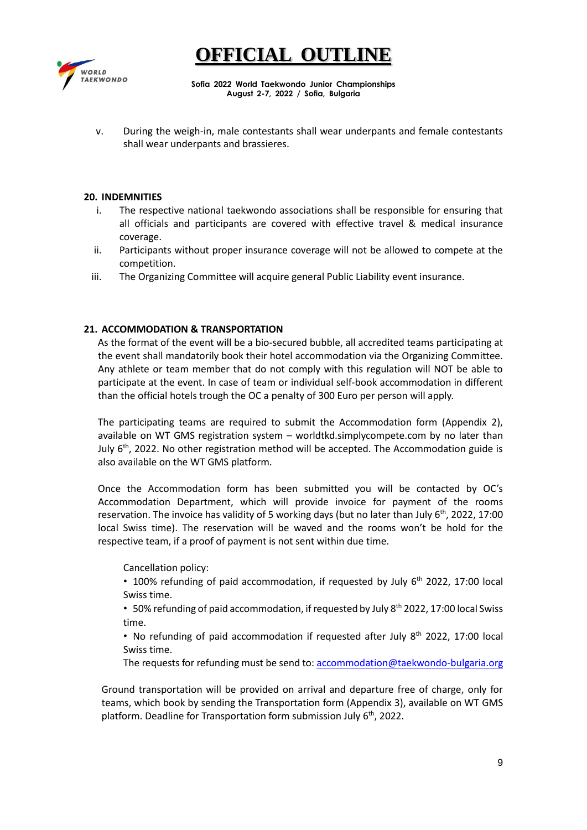



**Sofia 2022 World Taekwondo Junior Championships August 2-7, 2022 / Sofia, Bulgaria**

v. During the weigh-in, male contestants shall wear underpants and female contestants shall wear underpants and brassieres.

#### **20. INDEMNITIES**

- i. The respective national taekwondo associations shall be responsible for ensuring that all officials and participants are covered with effective travel & medical insurance coverage.
- ii. Participants without proper insurance coverage will not be allowed to compete at the competition.
- iii. The Organizing Committee will acquire general Public Liability event insurance.

### **21. ACCOMMODATION & TRANSPORTATION**

As the format of the event will be a bio-secured bubble, all accredited teams participating at the event shall mandatorily book their hotel accommodation via the Organizing Committee. Any athlete or team member that do not comply with this regulation will NOT be able to participate at the event. In case of team or individual self-book accommodation in different than the official hotels trough the OC a penalty of 300 Euro per person will apply.

The participating teams are required to submit the Accommodation form (Appendix 2), available on WT GMS registration system – worldtkd.simplycompete.com by no later than July  $6<sup>th</sup>$ , 2022. No other registration method will be accepted. The Accommodation guide is also available on the WT GMS platform.

Once the Accommodation form has been submitted you will be contacted by OC's Accommodation Department, which will provide invoice for payment of the rooms reservation. The invoice has validity of 5 working days (but no later than July  $6^{th}$ , 2022, 17:00 local Swiss time). The reservation will be waved and the rooms won't be hold for the respective team, if a proof of payment is not sent within due time.

Cancellation policy:

• 100% refunding of paid accommodation, if requested by July  $6<sup>th</sup>$  2022, 17:00 local Swiss time.

• 50% refunding of paid accommodation, if requested by July 8<sup>th</sup> 2022, 17:00 local Swiss time.

- No refunding of paid accommodation if requested after July 8<sup>th</sup> 2022, 17:00 local Swiss time.
- The requests for refunding must be send to: [accommodation@taekwondo-bulgaria.org](mailto:accommodation@taekwondo-bulgaria.org)

Ground transportation will be provided on arrival and departure free of charge, only for teams, which book by sending the Transportation form (Appendix 3), available on WT GMS platform. Deadline for Transportation form submission July 6<sup>th</sup>, 2022.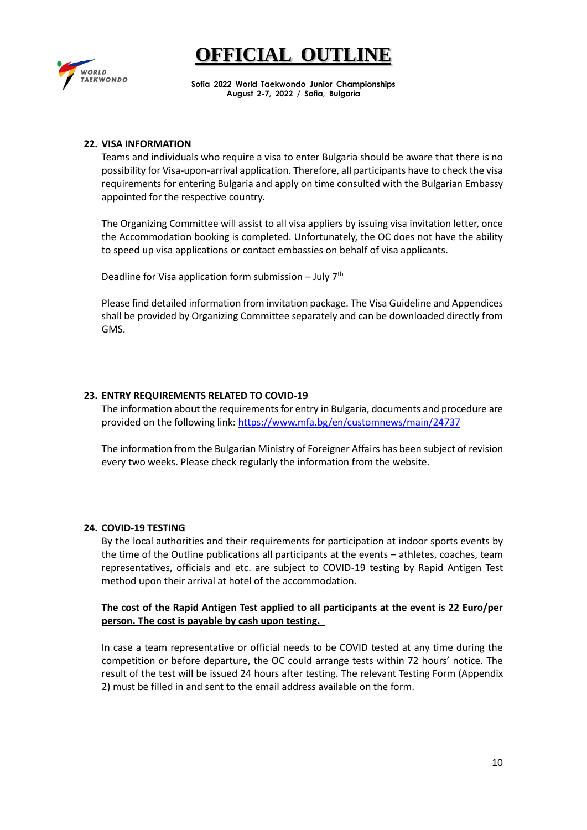

**Sofia 2022 World Taekwondo Junior Championships August 2-7, 2022 / Sofia, Bulgaria**

#### **22. VISA INFORMATION**

Teams and individuals who require a visa to enter Bulgaria should be aware that there is no possibility for Visa-upon-arrival application. Therefore, all participants have to check the visa requirements for entering Bulgaria and apply on time consulted with the Bulgarian Embassy appointed for the respective country.

The Organizing Committee will assist to all visa appliers by issuing visa invitation letter, once the Accommodation booking is completed. Unfortunately, the OC does not have the ability to speed up visa applications or contact embassies on behalf of visa applicants.

Deadline for Visa application form submission – July  $7<sup>th</sup>$ 

Please find detailed information from invitation package. The Visa Guideline and Appendices shall be provided by Organizing Committee separately and can be downloaded directly from GMS.

### **23. ENTRY REQUIREMENTS RELATED TO COVID-19**

The information about the requirements for entry in Bulgaria, documents and procedure are provided on the following link[: https://www.mfa.bg/en/customnews/main/24737](https://www.mfa.bg/en/customnews/main/24737) 

The information from the Bulgarian Ministry of Foreigner Affairs has been subject of revision every two weeks. Please check regularly the information from the website.

#### **24. COVID-19 TESTING**

By the local authorities and their requirements for participation at indoor sports events by the time of the Outline publications all participants at the events – athletes, coaches, team representatives, officials and etc. are subject to COVID-19 testing by Rapid Antigen Test method upon their arrival at hotel of the accommodation.

**The cost of the Rapid Antigen Test applied to all participants at the event is 22 Euro/per person. The cost is payable by cash upon testing.** 

In case a team representative or official needs to be COVID tested at any time during the competition or before departure, the OC could arrange tests within 72 hours' notice. The result of the test will be issued 24 hours after testing. The relevant Testing Form (Appendix 2) must be filled in and sent to the email address available on the form.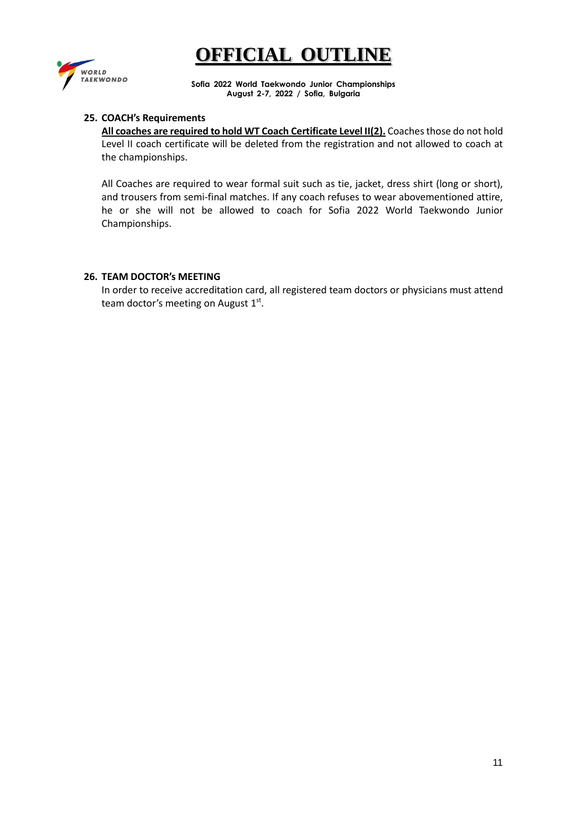

**Sofia 2022 World Taekwondo Junior Championships August 2-7, 2022 / Sofia, Bulgaria**

### **25. COACH's Requirements**

All coaches are required to hold WT Coach Certificate Level II(2). Coaches those do not hold Level II coach certificate will be deleted from the registration and not allowed to coach at the championships.

All Coaches are required to wear formal suit such as tie, jacket, dress shirt (long or short), and trousers from semi-final matches. If any coach refuses to wear abovementioned attire, he or she will not be allowed to coach for Sofia 2022 World Taekwondo Junior Championships.

#### **26. TEAM DOCTOR's MEETING**

In order to receive accreditation card, all registered team doctors or physicians must attend team doctor's meeting on August 1st.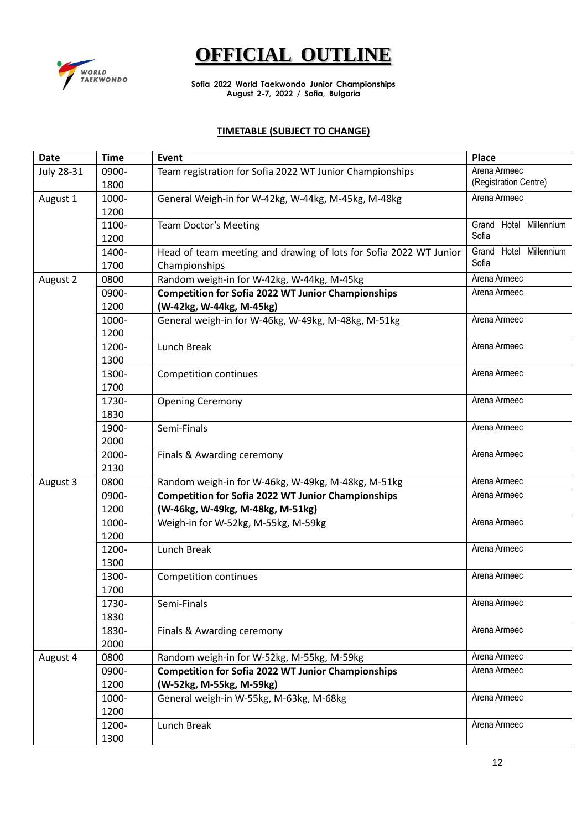

**Sofia 2022 World Taekwondo Junior Championships August 2-7, 2022 / Sofia, Bulgaria**

# **TIMETABLE (SUBJECT TO CHANGE)**

| <b>Date</b> | <b>Time</b> | Event                                                             | <b>Place</b>           |
|-------------|-------------|-------------------------------------------------------------------|------------------------|
| July 28-31  | 0900-       | Team registration for Sofia 2022 WT Junior Championships          | Arena Armeec           |
|             | 1800        |                                                                   | (Registration Centre)  |
| August 1    | 1000-       | General Weigh-in for W-42kg, W-44kg, M-45kg, M-48kg               | Arena Armeec           |
|             | 1200        |                                                                   |                        |
|             | 1100-       | Team Doctor's Meeting                                             | Grand Hotel Millennium |
|             | 1200        |                                                                   | Sofia                  |
|             | 1400-       | Head of team meeting and drawing of lots for Sofia 2022 WT Junior | Grand Hotel Millennium |
|             | 1700        | Championships                                                     | Sofia                  |
| August 2    | 0800        | Random weigh-in for W-42kg, W-44kg, M-45kg                        | Arena Armeec           |
|             | 0900-       | <b>Competition for Sofia 2022 WT Junior Championships</b>         | Arena Armeec           |
|             | 1200        | (W-42kg, W-44kg, M-45kg)                                          |                        |
|             | 1000-       | General weigh-in for W-46kg, W-49kg, M-48kg, M-51kg               | Arena Armeec           |
|             | 1200        |                                                                   |                        |
|             | 1200-       | Lunch Break                                                       | Arena Armeec           |
|             | 1300        |                                                                   |                        |
|             | 1300-       | <b>Competition continues</b>                                      | Arena Armeec           |
|             | 1700        |                                                                   |                        |
|             | 1730-       | <b>Opening Ceremony</b>                                           | Arena Armeec           |
|             | 1830        |                                                                   |                        |
|             | 1900-       | Semi-Finals                                                       | Arena Armeec           |
|             | 2000        |                                                                   |                        |
|             | 2000-       | Finals & Awarding ceremony                                        | Arena Armeec           |
|             | 2130        |                                                                   |                        |
| August 3    | 0800        | Random weigh-in for W-46kg, W-49kg, M-48kg, M-51kg                | Arena Armeec           |
|             | 0900-       | <b>Competition for Sofia 2022 WT Junior Championships</b>         | Arena Armeec           |
|             | 1200        | (W-46kg, W-49kg, M-48kg, M-51kg)                                  |                        |
|             | 1000-       | Weigh-in for W-52kg, M-55kg, M-59kg                               | Arena Armeec           |
|             | 1200        |                                                                   |                        |
|             | 1200-       | Lunch Break                                                       | Arena Armeec           |
|             | 1300        |                                                                   |                        |
|             | 1300-       | Competition continues                                             | Arena Armeec           |
|             | 1700        |                                                                   |                        |
|             | 1730-       | Semi-Finals                                                       | Arena Armeec           |
|             | 1830        |                                                                   |                        |
|             | 1830-       | Finals & Awarding ceremony                                        | Arena Armeec           |
|             | 2000        |                                                                   |                        |
| August 4    | 0800        | Random weigh-in for W-52kg, M-55kg, M-59kg                        | Arena Armeec           |
|             | 0900-       | <b>Competition for Sofia 2022 WT Junior Championships</b>         | Arena Armeec           |
|             | 1200        | (W-52kg, M-55kg, M-59kg)                                          |                        |
|             | 1000-       | General weigh-in W-55kg, M-63kg, M-68kg                           | Arena Armeec           |
|             | 1200        |                                                                   |                        |
|             | 1200-       | Lunch Break                                                       | Arena Armeec           |
|             | 1300        |                                                                   |                        |